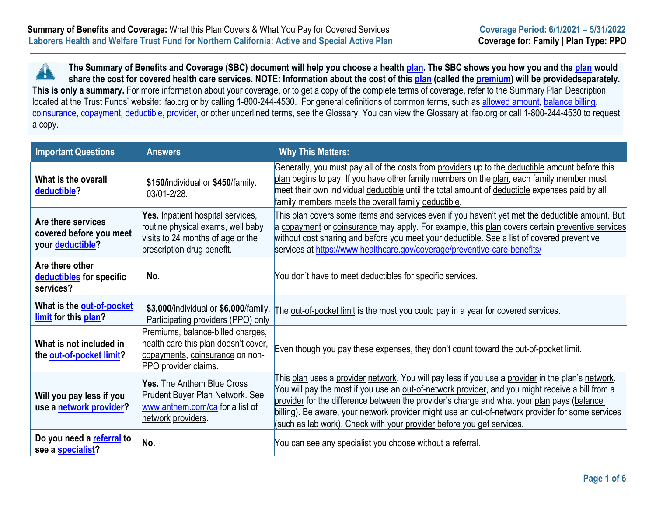**The Summary of Benefits and Coverage (SBC) document will help you choose a health [plan. T](https://www.healthcare.gov/sbc-glossary/#plan)he SBC shows you how you and the [plan](https://www.healthcare.gov/sbc-glossary/#plan) would**  H **share the cost for covered health care services. NOTE: Information about the cost of this [plan](https://www.healthcare.gov/sbc-glossary/#plan) (called the [premium\)](https://www.healthcare.gov/sbc-glossary/#premium) will be providedseparately.** This is only a summary. For more information about your coverage, or to get a copy of the complete terms of coverage, refer to the Summary Plan Description located at the Trust Funds' website: Ifao.org or by calling 1-800-244-4530. For general definitions of common terms, such as [allowed amount,](https://www.healthcare.gov/sbc-glossary/#allowed-amount) balance billing, [coinsurance,](https://www.healthcare.gov/sbc-glossary/#coinsurance) [copayment,](https://www.healthcare.gov/sbc-glossary/#copayment) [deductible,](https://www.healthcare.gov/sbc-glossary/#deductible) [provider, o](https://www.healthcare.gov/sbc-glossary/#provider)r other underlined terms, see the Glossary. You can view the Glossary at lfao.org or call 1-800-244-4530 to request a copy.

| <b>Important Questions</b>                                        | <b>Answers</b>                                                                                                                            | <b>Why This Matters:</b>                                                                                                                                                                                                                                                                                                                                                                                                                                                         |
|-------------------------------------------------------------------|-------------------------------------------------------------------------------------------------------------------------------------------|----------------------------------------------------------------------------------------------------------------------------------------------------------------------------------------------------------------------------------------------------------------------------------------------------------------------------------------------------------------------------------------------------------------------------------------------------------------------------------|
| What is the overall<br>deductible?                                | \$150/individual or \$450/family.<br>03/01-2/28.                                                                                          | Generally, you must pay all of the costs from providers up to the deductible amount before this<br>plan begins to pay. If you have other family members on the plan, each family member must<br>meet their own individual deductible until the total amount of deductible expenses paid by all<br>family members meets the overall family deductible.                                                                                                                            |
| Are there services<br>covered before you meet<br>your deductible? | Yes. Inpatient hospital services,<br>routine physical exams, well baby<br>visits to 24 months of age or the<br>prescription drug benefit. | This plan covers some items and services even if you haven't yet met the deductible amount. But<br>a copayment or coinsurance may apply. For example, this plan covers certain preventive services<br>without cost sharing and before you meet your deductible. See a list of covered preventive<br>services at https://www.healthcare.gov/coverage/preventive-care-benefits/                                                                                                    |
| Are there other<br>deductibles for specific<br>services?          | No.                                                                                                                                       | You don't have to meet deductibles for specific services.                                                                                                                                                                                                                                                                                                                                                                                                                        |
| What is the out-of-pocket<br>limit for this plan?                 | \$3,000/individual or \$6,000/family.<br>Participating providers (PPO) only                                                               | The out-of-pocket limit is the most you could pay in a year for covered services.                                                                                                                                                                                                                                                                                                                                                                                                |
| What is not included in<br>the out-of-pocket limit?               | Premiums, balance-billed charges,<br>health care this plan doesn't cover,<br>copayments, coinsurance on non-<br>PPO provider claims.      | Even though you pay these expenses, they don't count toward the out-of-pocket limit.                                                                                                                                                                                                                                                                                                                                                                                             |
| Will you pay less if you<br>use a network provider?               | <b>Yes.</b> The Anthem Blue Cross<br>Prudent Buyer Plan Network. See<br>www.anthem.com/ca for a list of<br>network providers.             | This plan uses a provider network. You will pay less if you use a provider in the plan's network.<br>You will pay the most if you use an out-of-network provider, and you might receive a bill from a<br>provider for the difference between the provider's charge and what your plan pays (balance<br>billing). Be aware, your network provider might use an out-of-network provider for some services<br>(such as lab work). Check with your provider before you get services. |
| Do you need a referral to<br>see a specialist?                    | No.                                                                                                                                       | You can see any specialist you choose without a referral.                                                                                                                                                                                                                                                                                                                                                                                                                        |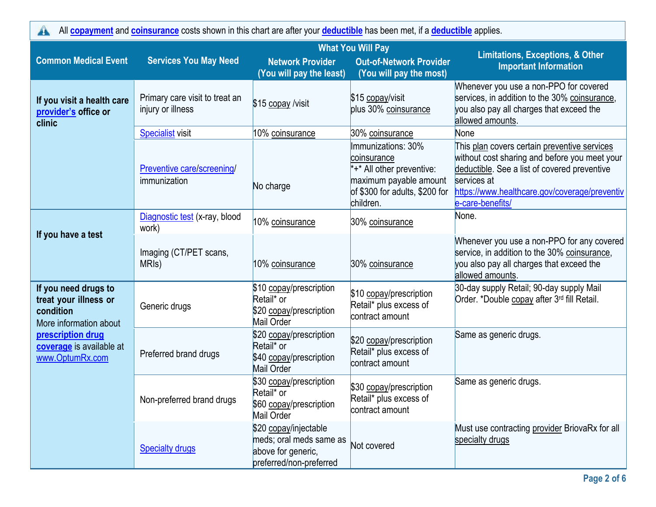| All <b>copayment</b> and <b>coinsurance</b> costs shown in this chart are after your <b>deductible</b> has been met, if a <b>deductible</b> applies. |                                                     |                                                                                                   |                                                                                                                                         |                                                                                                                                                                                                                                   |  |
|------------------------------------------------------------------------------------------------------------------------------------------------------|-----------------------------------------------------|---------------------------------------------------------------------------------------------------|-----------------------------------------------------------------------------------------------------------------------------------------|-----------------------------------------------------------------------------------------------------------------------------------------------------------------------------------------------------------------------------------|--|
|                                                                                                                                                      | <b>What You Will Pay</b>                            |                                                                                                   |                                                                                                                                         |                                                                                                                                                                                                                                   |  |
| <b>Common Medical Event</b>                                                                                                                          | <b>Services You May Need</b>                        | <b>Network Provider</b><br>(You will pay the least)                                               | <b>Out-of-Network Provider</b><br>(You will pay the most)                                                                               | <b>Limitations, Exceptions, &amp; Other</b><br><b>Important Information</b>                                                                                                                                                       |  |
| If you visit a health care<br>provider's office or<br>clinic                                                                                         | Primary care visit to treat an<br>injury or illness | \$15 copay /visit                                                                                 | \$15 copay/visit<br>plus 30% coinsurance                                                                                                | Whenever you use a non-PPO for covered<br>services, in addition to the 30% coinsurance,<br>you also pay all charges that exceed the<br>allowed amounts.                                                                           |  |
|                                                                                                                                                      | <b>Specialist visit</b>                             | 10% coinsurance                                                                                   | 30% coinsurance                                                                                                                         | None                                                                                                                                                                                                                              |  |
|                                                                                                                                                      | <b>Preventive care/screening/</b><br>immunization   | No charge                                                                                         | Immunizations: 30%<br>coinsurance<br>*+* All other preventive:<br>maximum payable amount<br>of \$300 for adults, \$200 for<br>children. | This plan covers certain preventive services<br>without cost sharing and before you meet your<br>deductible. See a list of covered preventive<br>services at<br>https://www.healthcare.gov/coverage/preventiv<br>e-care-benefits/ |  |
|                                                                                                                                                      | Diagnostic test (x-ray, blood<br>work)              | 10% coinsurance                                                                                   | 30% coinsurance                                                                                                                         | None.                                                                                                                                                                                                                             |  |
| If you have a test                                                                                                                                   | Imaging (CT/PET scans,<br>MRI <sub>s</sub> )        | 10% coinsurance                                                                                   | 30% coinsurance                                                                                                                         | Whenever you use a non-PPO for any covered<br>service, in addition to the 30% coinsurance,<br>you also pay all charges that exceed the<br>allowed amounts.                                                                        |  |
| If you need drugs to<br>treat your illness or<br>condition<br>More information about                                                                 | Generic drugs                                       | \$10 copay/prescription<br>Retail* or<br>\$20 copay/prescription<br>Mail Order                    | \$10 copay/prescription<br>Retail* plus excess of<br>contract amount                                                                    | 30-day supply Retail; 90-day supply Mail<br>Order. *Double copay after 3rd fill Retail.                                                                                                                                           |  |
| prescription drug<br>coverage is available at<br>www.OptumRx.com                                                                                     | Preferred brand drugs                               | \$20 copay/prescription<br>Retail* or<br>\$40 copay/prescription<br>Mail Order                    | \$20 copay/prescription<br>Retail* plus excess of<br>contract amount                                                                    | Same as generic drugs.                                                                                                                                                                                                            |  |
|                                                                                                                                                      | Non-preferred brand drugs                           | \$30 copay/prescription<br>Retail* or<br>\$60 copay/prescription<br>Mail Order                    | \$30 copay/prescription<br>Retail* plus excess of<br>contract amount                                                                    | Same as generic drugs.                                                                                                                                                                                                            |  |
|                                                                                                                                                      | <b>Specialty drugs</b>                              | \$20 copay/injectable<br>meds; oral meds same as<br>above for generic,<br>preferred/non-preferred | Not covered                                                                                                                             | Must use contracting provider BriovaRx for all<br>specialty drugs                                                                                                                                                                 |  |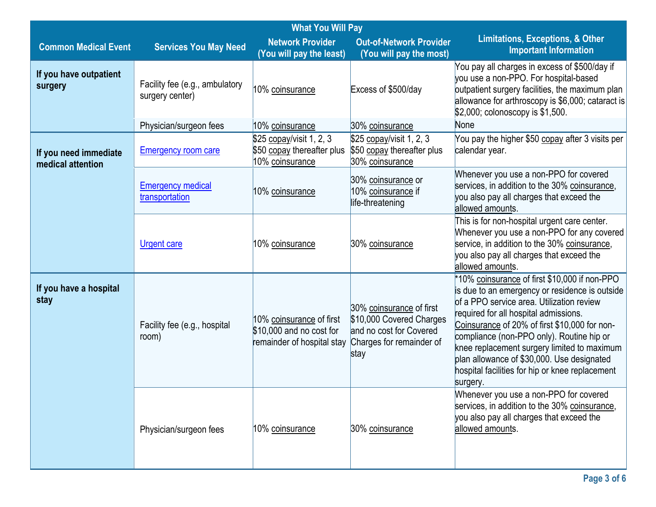|                                            | <b>What You Will Pay</b>                          |                                                                                    |                                                                                                                     |                                                                                                                                                                                                                                                                                                                                                                                                                                                 |
|--------------------------------------------|---------------------------------------------------|------------------------------------------------------------------------------------|---------------------------------------------------------------------------------------------------------------------|-------------------------------------------------------------------------------------------------------------------------------------------------------------------------------------------------------------------------------------------------------------------------------------------------------------------------------------------------------------------------------------------------------------------------------------------------|
| <b>Common Medical Event</b>                | <b>Services You May Need</b>                      | <b>Network Provider</b><br>(You will pay the least)                                | <b>Out-of-Network Provider</b><br>(You will pay the most)                                                           | <b>Limitations, Exceptions, &amp; Other</b><br><b>Important Information</b>                                                                                                                                                                                                                                                                                                                                                                     |
| If you have outpatient<br>surgery          | Facility fee (e.g., ambulatory<br>surgery center) | 10% coinsurance                                                                    | Excess of \$500/day                                                                                                 | You pay all charges in excess of \$500/day if<br>you use a non-PPO. For hospital-based<br>outpatient surgery facilities, the maximum plan<br>allowance for arthroscopy is \$6,000; cataract is<br>\$2,000; colonoscopy is \$1,500.                                                                                                                                                                                                              |
|                                            | Physician/surgeon fees                            | 10% coinsurance                                                                    | 30% coinsurance                                                                                                     | None                                                                                                                                                                                                                                                                                                                                                                                                                                            |
| If you need immediate<br>medical attention | <b>Emergency room care</b>                        | \$25 copay/visit 1, 2, 3<br>\$50 copay thereafter plus<br>10% coinsurance          | \$25 copay/visit 1, 2, 3<br>\$50 copay thereafter plus<br>30% coinsurance                                           | You pay the higher \$50 copay after 3 visits per<br>calendar year.                                                                                                                                                                                                                                                                                                                                                                              |
|                                            | <b>Emergency medical</b><br>transportation        | 10% coinsurance                                                                    | 30% coinsurance or<br>10% coinsurance if<br>life-threatening                                                        | Whenever you use a non-PPO for covered<br>services, in addition to the 30% coinsurance,<br>you also pay all charges that exceed the<br>allowed amounts.                                                                                                                                                                                                                                                                                         |
|                                            | <b>Urgent care</b>                                | 10% coinsurance                                                                    | 30% coinsurance                                                                                                     | This is for non-hospital urgent care center.<br>Whenever you use a non-PPO for any covered<br>service, in addition to the 30% coinsurance,<br>you also pay all charges that exceed the<br>allowed amounts.                                                                                                                                                                                                                                      |
| If you have a hospital<br>stay             | Facility fee (e.g., hospital<br>room)             | 10% coinsurance of first<br>\$10,000 and no cost for<br>remainder of hospital stay | 30% coinsurance of first<br>\$10,000 Covered Charges<br>and no cost for Covered<br>Charges for remainder of<br>stay | *10% coinsurance of first \$10,000 if non-PPO<br>is due to an emergency or residence is outside<br>of a PPO service area. Utilization review<br>required for all hospital admissions.<br>Coinsurance of 20% of first \$10,000 for non-<br>compliance (non-PPO only). Routine hip or<br>knee replacement surgery limited to maximum<br>plan allowance of \$30,000. Use designated<br>hospital facilities for hip or knee replacement<br>surgery. |
|                                            | Physician/surgeon fees                            | 10% coinsurance                                                                    | 30% coinsurance                                                                                                     | Whenever you use a non-PPO for covered<br>services, in addition to the 30% coinsurance,<br>you also pay all charges that exceed the<br>allowed amounts.                                                                                                                                                                                                                                                                                         |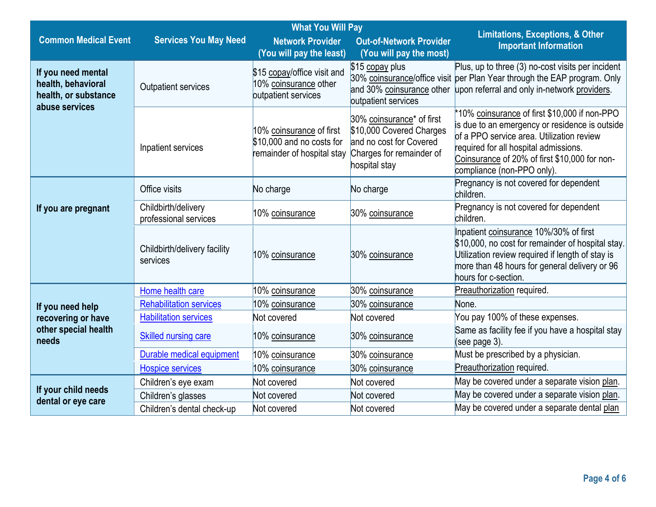|                                                                                    |                                              | <b>What You Will Pay</b>                                                            |                                                                                                                               |                                                                                                                                                                                                                                                                      |
|------------------------------------------------------------------------------------|----------------------------------------------|-------------------------------------------------------------------------------------|-------------------------------------------------------------------------------------------------------------------------------|----------------------------------------------------------------------------------------------------------------------------------------------------------------------------------------------------------------------------------------------------------------------|
| <b>Common Medical Event</b>                                                        | <b>Services You May Need</b>                 | <b>Network Provider</b><br>(You will pay the least)                                 | <b>Out-of-Network Provider</b><br>(You will pay the most)                                                                     | <b>Limitations, Exceptions, &amp; Other</b><br><b>Important Information</b>                                                                                                                                                                                          |
| If you need mental<br>health, behavioral<br>health, or substance<br>abuse services | Outpatient services                          | \$15 copay/office visit and<br>10% coinsurance other<br>outpatient services         | \$15 copay plus<br>outpatient services                                                                                        | Plus, up to three (3) no-cost visits per incident<br>30% coinsurance/office visit per Plan Year through the EAP program. Only<br>and 30% coinsurance other upon referral and only in-network providers.                                                              |
|                                                                                    | Inpatient services                           | 10% coinsurance of first<br>\$10,000 and no costs for<br>remainder of hospital stay | 30% coinsurance* of first<br>\$10,000 Covered Charges<br>and no cost for Covered<br>Charges for remainder of<br>hospital stay | *10% coinsurance of first \$10,000 if non-PPO<br>is due to an emergency or residence is outside<br>of a PPO service area. Utilization review<br>required for all hospital admissions.<br>Coinsurance of 20% of first \$10,000 for non-<br>compliance (non-PPO only). |
|                                                                                    | Office visits                                | No charge                                                                           | No charge                                                                                                                     | Pregnancy is not covered for dependent<br>children.                                                                                                                                                                                                                  |
| If you are pregnant                                                                | Childbirth/delivery<br>professional services | 10% coinsurance                                                                     | 30% coinsurance                                                                                                               | Pregnancy is not covered for dependent<br>children.                                                                                                                                                                                                                  |
|                                                                                    | Childbirth/delivery facility<br>services     | 10% coinsurance                                                                     | 30% coinsurance                                                                                                               | Inpatient coinsurance 10%/30% of first<br>\$10,000, no cost for remainder of hospital stay.<br>Utilization review required if length of stay is<br>more than 48 hours for general delivery or 96<br>hours for c-section.                                             |
|                                                                                    | Home health care                             | 10% coinsurance                                                                     | 30% coinsurance                                                                                                               | Preauthorization required.                                                                                                                                                                                                                                           |
| If you need help                                                                   | <b>Rehabilitation services</b>               | 10% coinsurance                                                                     | 30% coinsurance                                                                                                               | None.                                                                                                                                                                                                                                                                |
| recovering or have                                                                 | <b>Habilitation services</b>                 | Not covered                                                                         | Not covered                                                                                                                   | You pay 100% of these expenses.                                                                                                                                                                                                                                      |
| other special health<br>needs                                                      | <b>Skilled nursing care</b>                  | 10% coinsurance                                                                     | 30% coinsurance                                                                                                               | Same as facility fee if you have a hospital stay<br>(see page 3).                                                                                                                                                                                                    |
|                                                                                    | Durable medical equipment                    | 10% coinsurance                                                                     | 30% coinsurance                                                                                                               | Must be prescribed by a physician.                                                                                                                                                                                                                                   |
|                                                                                    | <b>Hospice services</b>                      | 10% coinsurance                                                                     | 30% coinsurance                                                                                                               | Preauthorization required.                                                                                                                                                                                                                                           |
| If your child needs                                                                | Children's eye exam                          | Not covered                                                                         | Not covered                                                                                                                   | May be covered under a separate vision plan.                                                                                                                                                                                                                         |
| dental or eye care                                                                 | Children's glasses                           | Not covered                                                                         | Not covered                                                                                                                   | May be covered under a separate vision plan.                                                                                                                                                                                                                         |
|                                                                                    | Children's dental check-up                   | Not covered                                                                         | Not covered                                                                                                                   | May be covered under a separate dental plan                                                                                                                                                                                                                          |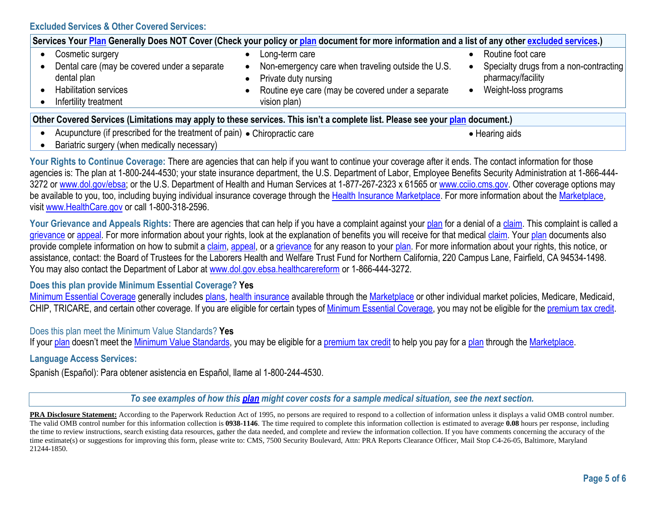| Services Your Plan Generally Does NOT Cover (Check your policy or plan document for more information and a list of any other excluded services.) |                                                                                                                                                 |                                                                                     |  |  |
|--------------------------------------------------------------------------------------------------------------------------------------------------|-------------------------------------------------------------------------------------------------------------------------------------------------|-------------------------------------------------------------------------------------|--|--|
| Cosmetic surgery                                                                                                                                 | Long-term care                                                                                                                                  | Routine foot care                                                                   |  |  |
| Dental care (may be covered under a separate<br>dental plan<br><b>Habilitation services</b><br>Infertility treatment                             | Non-emergency care when traveling outside the U.S.<br>Private duty nursing<br>Routine eye care (may be covered under a separate<br>vision plan) | Specialty drugs from a non-contracting<br>pharmacy/facility<br>Weight-loss programs |  |  |
| Other Covered Services (Limitations may apply to these services. This isn't a complete list. Please see your plan document.)                     |                                                                                                                                                 |                                                                                     |  |  |
| Acupuncture (if prescribed for the treatment of pain) • Chiropractic care<br>• Hearing aids                                                      |                                                                                                                                                 |                                                                                     |  |  |

• Bariatric surgery (when medically necessary)

Your Rights to Continue Coverage: There are agencies that can help if you want to continue your coverage after it ends. The contact information for those agencies is: The plan at 1-800-244-4530; your state insurance department, the U.S. Department of Labor, Employee Benefits Security Administration at 1-866-444 3272 or [www.dol.gov/ebsa;](http://www.dol.gov/ebsa) or the U.S. Department of Health and Human Services at 1-877-267-2323 x 61565 or [www.cciio.cms.gov.](http://www.cciio.cms.gov/) Other coverage options may be available to you, too, including buying individual insurance coverage through the [Health Insurance](https://www.healthcare.gov/sbc-glossary/#health-insurance) [Marketplace. F](https://www.healthcare.gov/sbc-glossary/#marketplace)or more information about the Marketplace, visit [www.HealthCare.gov](http://www.healthcare.gov/) or call 1-800-318-2596.

Your Grievance and Appeals Rights: There are agencies that can help if you have a complaint against your [plan](https://www.healthcare.gov/sbc-glossary/#plan) for a denial of a [claim. T](https://www.healthcare.gov/sbc-glossary/#claim)his complaint is called a [grievance](https://www.healthcare.gov/sbc-glossary/#grievance) or [appeal. F](https://www.healthcare.gov/sbc-glossary/#appeal)or more information about your rights, look at the explanation of benefits you will receive for that medical [claim. Y](https://www.healthcare.gov/sbc-glossary/#claim)our [plan](https://www.healthcare.gov/sbc-glossary/#plan) documents also provide complete information on how to submit a [claim,](https://www.healthcare.gov/sbc-glossary/#claim) [appeal, o](https://www.healthcare.gov/sbc-glossary/#appeal)r a [grievance](https://www.healthcare.gov/sbc-glossary/#grievance) for any reason to your [plan. F](https://www.healthcare.gov/sbc-glossary/#plan)or more information about your rights, this notice, or assistance, contact: the Board of Trustees for the Laborers Health and Welfare Trust Fund for Northern California, 220 Campus Lane, Fairfield, CA 94534-1498. You may also contact the Department of Labor at [www.dol.gov.ebsa.healthcarereform](http://www.dol.gov.ebsa.healthcarereform/) or 1-866-444-3272.

### **Does this plan provide Minimum Essential Coverage? Yes**

[Minimum Essential Coverage](https://www.healthcare.gov/sbc-glossary/#minimum-essential-coverage) generally includes [plans,](https://www.healthcare.gov/sbc-glossary/#plan) [health insurance](https://www.healthcare.gov/sbc-glossary/#health-insurance) available through the [Marketplace](https://www.healthcare.gov/sbc-glossary/#marketplace) or other individual market policies, Medicare, Medicaid, CHIP, TRICARE, and certain other coverage. If you are eligible for certain types of Minimum Essential [Coverage,](https://www.healthcare.gov/sbc-glossary/#minimum-essential-coverage) you may not be eligible for the [premium](https://www.healthcare.gov/sbc-glossary/#premium-tax-credits) tax credit.

### Does this plan meet the Minimum Value Standards? **Yes**

If your [plan](https://www.healthcare.gov/sbc-glossary/#plan) doesn't meet the Minimum Value [Standards,](https://www.healthcare.gov/sbc-glossary/#minimum-value-standard) you may be eligible for a [premium](https://www.healthcare.gov/sbc-glossary/#premium-tax-credits) tax credit to help you pay for a plan through the [Marketplace.](https://www.healthcare.gov/sbc-glossary/#marketplace)

### **Language Access Services:**

Spanish (Español): Para obtener asistencia en Español, llame al 1-800-244-4530.

To see examples of how this [plan](https://www.healthcare.gov/sbc-glossary/#plan) might cover costs for a sample medical situation, see the next section.

**PRA** Disclosure Statement: According to the Paperwork Reduction Act of 1995, no persons are required to respond to a collection of information unless it displays a valid OMB control number. The valid OMB control number for this information collection is **0938-1146**. The time required to complete this information collection is estimated to average **0.08** hours per response, including the time to review instructions, search existing data resources, gather the data needed, and complete and review the information collection. If you have comments concerning the accuracy of the time estimate(s) or suggestions for improving this form, please write to: CMS, 7500 Security Boulevard, Attn: PRA Reports Clearance Officer, Mail Stop C4-26-05, Baltimore, Maryland 21244-1850.